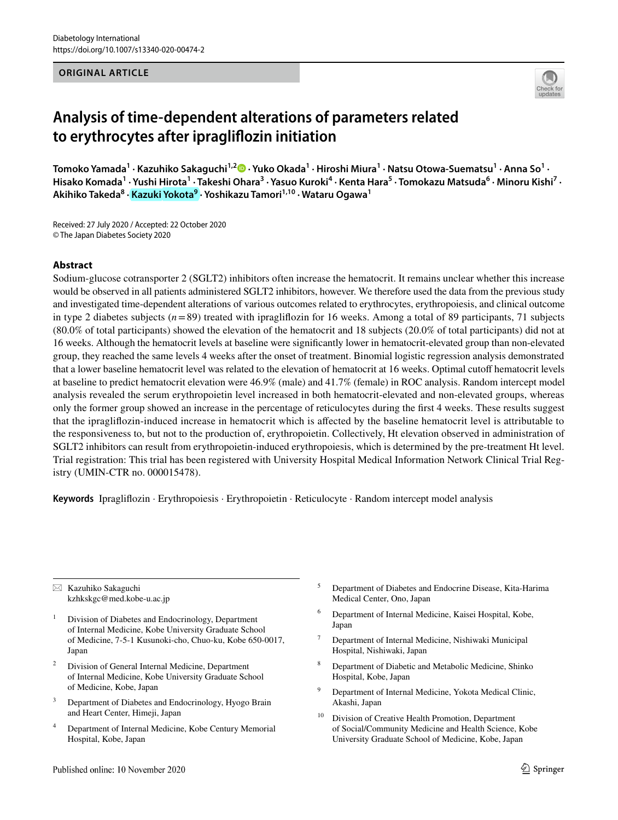#### **ORIGINAL ARTICLE**



# **Analysis of time‑dependent alterations of parameters related to erythrocytes after ipraglifozin initiation**

 ${\sf Tomoko\,Yamada}^1\cdot{\sf Kazuhiko\,Sakaguchi}^{1,2}$  ${\sf Tomoko\,Yamada}^1\cdot{\sf Kazuhiko\,Sakaguchi}^{1,2}$  ${\sf Tomoko\,Yamada}^1\cdot{\sf Kazuhiko\,Sakaguchi}^{1,2}$ . Yuko Okada $^1\cdot{\sf Hiroshi\,Miura}^1\cdot{\sf Natsu\,Otowa-Suematsu}^1\cdot{\sf Anna\,So}^1\cdot$ Hisako Komada<sup>1</sup> · Yushi Hirota<sup>1</sup> · Takeshi Ohara<sup>3</sup> · Yasuo Kuroki<sup>4</sup> · Kenta Hara<sup>5</sup> · Tomokazu Matsuda<sup>6</sup> · Minoru Kishi<sup>7</sup> · **Akihiko Takeda<sup>8</sup> · Kazuki Yokota9 · Yoshikazu Tamori1,10 · Wataru Ogawa1**

Received: 27 July 2020 / Accepted: 22 October 2020 © The Japan Diabetes Society 2020

#### **Abstract**

Sodium-glucose cotransporter 2 (SGLT2) inhibitors often increase the hematocrit. It remains unclear whether this increase would be observed in all patients administered SGLT2 inhibitors, however. We therefore used the data from the previous study and investigated time-dependent alterations of various outcomes related to erythrocytes, erythropoiesis, and clinical outcome in type 2 diabetes subjects  $(n=89)$  treated with ipraglifiozin for 16 weeks. Among a total of 89 participants, 71 subjects (80.0% of total participants) showed the elevation of the hematocrit and 18 subjects (20.0% of total participants) did not at 16 weeks. Although the hematocrit levels at baseline were signifcantly lower in hematocrit-elevated group than non-elevated group, they reached the same levels 4 weeks after the onset of treatment. Binomial logistic regression analysis demonstrated that a lower baseline hematocrit level was related to the elevation of hematocrit at 16 weeks. Optimal cutof hematocrit levels at baseline to predict hematocrit elevation were 46.9% (male) and 41.7% (female) in ROC analysis. Random intercept model analysis revealed the serum erythropoietin level increased in both hematocrit-elevated and non-elevated groups, whereas only the former group showed an increase in the percentage of reticulocytes during the frst 4 weeks. These results suggest that the ipraglifozin-induced increase in hematocrit which is afected by the baseline hematocrit level is attributable to the responsiveness to, but not to the production of, erythropoietin. Collectively, Ht elevation observed in administration of SGLT2 inhibitors can result from erythropoietin-induced erythropoiesis, which is determined by the pre-treatment Ht level. Trial registration: This trial has been registered with University Hospital Medical Information Network Clinical Trial Registry (UMIN-CTR no. 000015478).

**Keywords** Ipraglifozin · Erythropoiesis · Erythropoietin · Reticulocyte · Random intercept model analysis

 $\boxtimes$  Kazuhiko Sakaguchi kzhkskgc@med.kobe-u.ac.jp

- <sup>1</sup> Division of Diabetes and Endocrinology, Department of Internal Medicine, Kobe University Graduate School of Medicine, 7-5-1 Kusunoki-cho, Chuo-ku, Kobe 650-0017, Japan
- <sup>2</sup> Division of General Internal Medicine, Department of Internal Medicine, Kobe University Graduate School of Medicine, Kobe, Japan
- <sup>3</sup> Department of Diabetes and Endocrinology, Hyogo Brain and Heart Center, Himeji, Japan
- <sup>4</sup> Department of Internal Medicine, Kobe Century Memorial Hospital, Kobe, Japan
- <sup>5</sup> Department of Diabetes and Endocrine Disease, Kita-Harima Medical Center, Ono, Japan
- <sup>6</sup> Department of Internal Medicine, Kaisei Hospital, Kobe, Japan
- Department of Internal Medicine, Nishiwaki Municipal Hospital, Nishiwaki, Japan
- Department of Diabetic and Metabolic Medicine, Shinko Hospital, Kobe, Japan
- <sup>9</sup> Department of Internal Medicine, Yokota Medical Clinic, Akashi, Japan
- Division of Creative Health Promotion, Department of Social/Community Medicine and Health Science, Kobe University Graduate School of Medicine, Kobe, Japan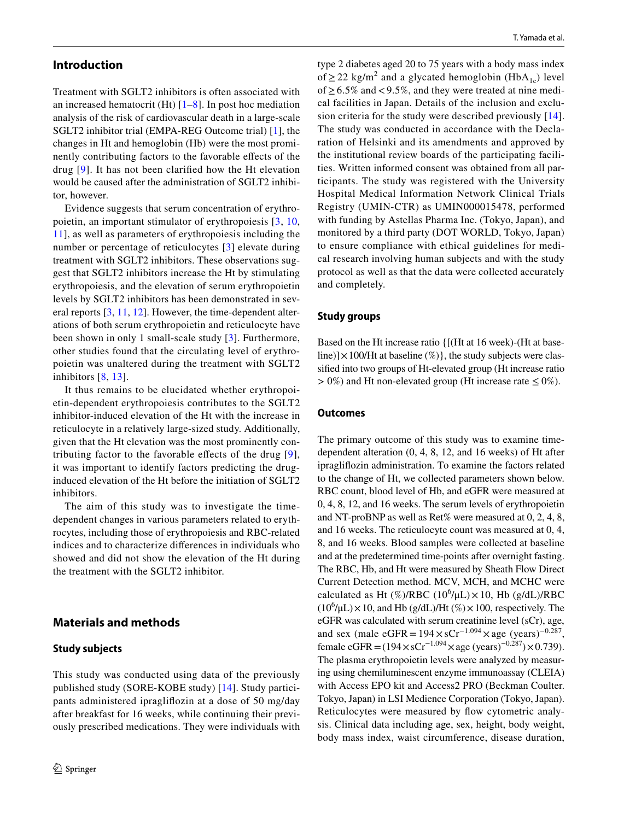#### **Introduction**

Treatment with SGLT2 inhibitors is often associated with an increased hematocrit (Ht)  $[1-8]$  $[1-8]$ . In post hoc mediation analysis of the risk of cardiovascular death in a large-scale SGLT2 inhibitor trial (EMPA-REG Outcome trial) [\[1](#page-8-0)], the changes in Ht and hemoglobin (Hb) were the most prominently contributing factors to the favorable efects of the drug [[9](#page-8-2)]. It has not been clarifed how the Ht elevation would be caused after the administration of SGLT2 inhibitor, however.

Evidence suggests that serum concentration of erythropoietin, an important stimulator of erythropoiesis [\[3,](#page-8-3) [10,](#page-8-4) [11](#page-8-5)], as well as parameters of erythropoiesis including the number or percentage of reticulocytes [[3\]](#page-8-3) elevate during treatment with SGLT2 inhibitors. These observations suggest that SGLT2 inhibitors increase the Ht by stimulating erythropoiesis, and the elevation of serum erythropoietin levels by SGLT2 inhibitors has been demonstrated in several reports [[3](#page-8-3), [11](#page-8-5), [12](#page-8-6)]. However, the time-dependent alterations of both serum erythropoietin and reticulocyte have been shown in only 1 small-scale study [[3](#page-8-3)]. Furthermore, other studies found that the circulating level of erythropoietin was unaltered during the treatment with SGLT2 inhibitors [\[8,](#page-8-1) [13](#page-8-7)].

It thus remains to be elucidated whether erythropoietin-dependent erythropoiesis contributes to the SGLT2 inhibitor-induced elevation of the Ht with the increase in reticulocyte in a relatively large-sized study. Additionally, given that the Ht elevation was the most prominently contributing factor to the favorable efects of the drug [[9](#page-8-2)], it was important to identify factors predicting the druginduced elevation of the Ht before the initiation of SGLT2 inhibitors.

The aim of this study was to investigate the timedependent changes in various parameters related to erythrocytes, including those of erythropoiesis and RBC-related indices and to characterize diferences in individuals who showed and did not show the elevation of the Ht during the treatment with the SGLT2 inhibitor.

# **Materials and methods**

#### **Study subjects**

This study was conducted using data of the previously published study (SORE-KOBE study) [[14\]](#page-8-8). Study participants administered ipraglifozin at a dose of 50 mg/day after breakfast for 16 weeks, while continuing their previously prescribed medications. They were individuals with type 2 diabetes aged 20 to 75 years with a body mass index of  $\geq$  22 kg/m<sup>2</sup> and a glycated hemoglobin (HbA<sub>1c</sub>) level of  $\geq$  6.5% and < 9.5%, and they were treated at nine medical facilities in Japan. Details of the inclusion and exclusion criteria for the study were described previously [[14](#page-8-8)]. The study was conducted in accordance with the Declaration of Helsinki and its amendments and approved by the institutional review boards of the participating facilities. Written informed consent was obtained from all participants. The study was registered with the University Hospital Medical Information Network Clinical Trials Registry (UMIN-CTR) as UMIN000015478, performed with funding by Astellas Pharma Inc. (Tokyo, Japan), and monitored by a third party (DOT WORLD, Tokyo, Japan) to ensure compliance with ethical guidelines for medical research involving human subjects and with the study protocol as well as that the data were collected accurately and completely.

#### **Study groups**

Based on the Ht increase ratio {[(Ht at 16 week)-(Ht at baseline)] $\times$ 100/Ht at baseline (%)}, the study subjects were classifed into two groups of Ht-elevated group (Ht increase ratio  $> 0\%$ ) and Ht non-elevated group (Ht increase rate  $\leq 0\%$ ).

#### **Outcomes**

The primary outcome of this study was to examine timedependent alteration (0, 4, 8, 12, and 16 weeks) of Ht after ipraglifozin administration. To examine the factors related to the change of Ht, we collected parameters shown below. RBC count, blood level of Hb, and eGFR were measured at 0, 4, 8, 12, and 16 weeks. The serum levels of erythropoietin and NT-proBNP as well as Ret% were measured at 0, 2, 4, 8, and 16 weeks. The reticulocyte count was measured at 0, 4, 8, and 16 weeks. Blood samples were collected at baseline and at the predetermined time-points after overnight fasting. The RBC, Hb, and Ht were measured by Sheath Flow Direct Current Detection method. MCV, MCH, and MCHC were calculated as Ht  $(\%)$ /RBC  $(10^6/\mu L) \times 10$ , Hb  $(g/dL)$ /RBC  $(10^6/\mu L) \times 10$ , and Hb (g/dL)/Ht (%) × 100, respectively. The eGFR was calculated with serum creatinine level (sCr), age, and sex (male eGFR =  $194 \times \text{sCr}^{-1.094} \times \text{age (years)}^{-0.287}$ , female eGFR =  $(194 \times sCr^{-1.094} \times age$  (years)<sup>-0.287</sup>)×0.739). The plasma erythropoietin levels were analyzed by measuring using chemiluminescent enzyme immunoassay (CLEIA) with Access EPO kit and Access2 PRO (Beckman Coulter. Tokyo, Japan) in LSI Medience Corporation (Tokyo, Japan). Reticulocytes were measured by flow cytometric analysis. Clinical data including age, sex, height, body weight, body mass index, waist circumference, disease duration,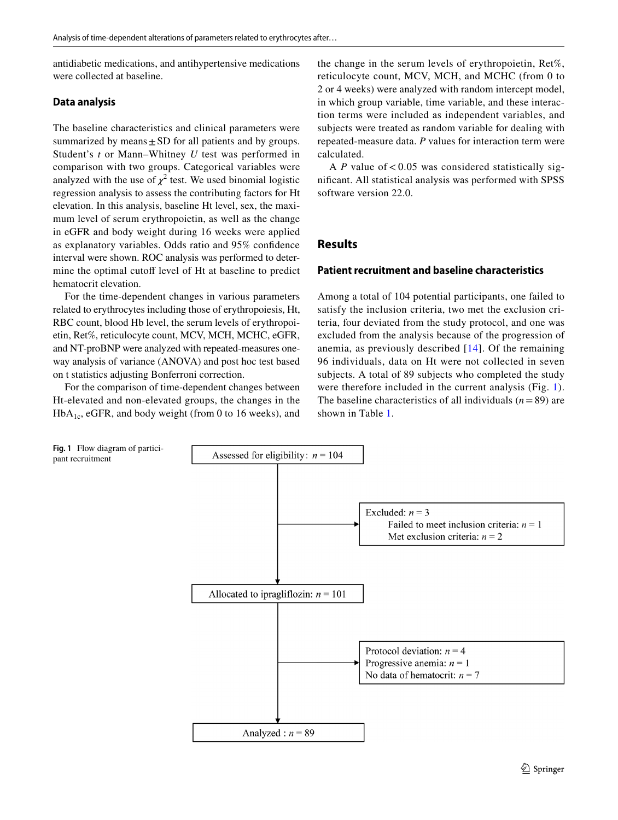antidiabetic medications, and antihypertensive medications were collected at baseline.

#### **Data analysis**

The baseline characteristics and clinical parameters were summarized by means $\pm$ SD for all patients and by groups. Student's *t* or Mann–Whitney *U* test was performed in comparison with two groups. Categorical variables were analyzed with the use of  $\chi^2$  test. We used binomial logistic regression analysis to assess the contributing factors for Ht elevation. In this analysis, baseline Ht level, sex, the maximum level of serum erythropoietin, as well as the change in eGFR and body weight during 16 weeks were applied as explanatory variables. Odds ratio and 95% confdence interval were shown. ROC analysis was performed to determine the optimal cutoff level of Ht at baseline to predict hematocrit elevation.

For the time-dependent changes in various parameters related to erythrocytes including those of erythropoiesis, Ht, RBC count, blood Hb level, the serum levels of erythropoietin, Ret%, reticulocyte count, MCV, MCH, MCHC, eGFR, and NT-proBNP were analyzed with repeated-measures oneway analysis of variance (ANOVA) and post hoc test based on t statistics adjusting Bonferroni correction.

For the comparison of time-dependent changes between Ht-elevated and non-elevated groups, the changes in the  $HbA_{1c}$ , eGFR, and body weight (from 0 to 16 weeks), and the change in the serum levels of erythropoietin, Ret%, reticulocyte count, MCV, MCH, and MCHC (from 0 to 2 or 4 weeks) were analyzed with random intercept model, in which group variable, time variable, and these interaction terms were included as independent variables, and subjects were treated as random variable for dealing with repeated-measure data. *P* values for interaction term were calculated.

A *P* value of < 0.05 was considered statistically signifcant. All statistical analysis was performed with SPSS software version 22.0.

# **Results**

#### **Patient recruitment and baseline characteristics**

Among a total of 104 potential participants, one failed to satisfy the inclusion criteria, two met the exclusion criteria, four deviated from the study protocol, and one was excluded from the analysis because of the progression of anemia, as previously described [[14](#page-8-8)]. Of the remaining 96 individuals, data on Ht were not collected in seven subjects. A total of 89 subjects who completed the study were therefore included in the current analysis (Fig. [1](#page-2-0)). The baseline characteristics of all individuals  $(n=89)$  are shown in Table [1](#page-3-0).

<span id="page-2-0"></span>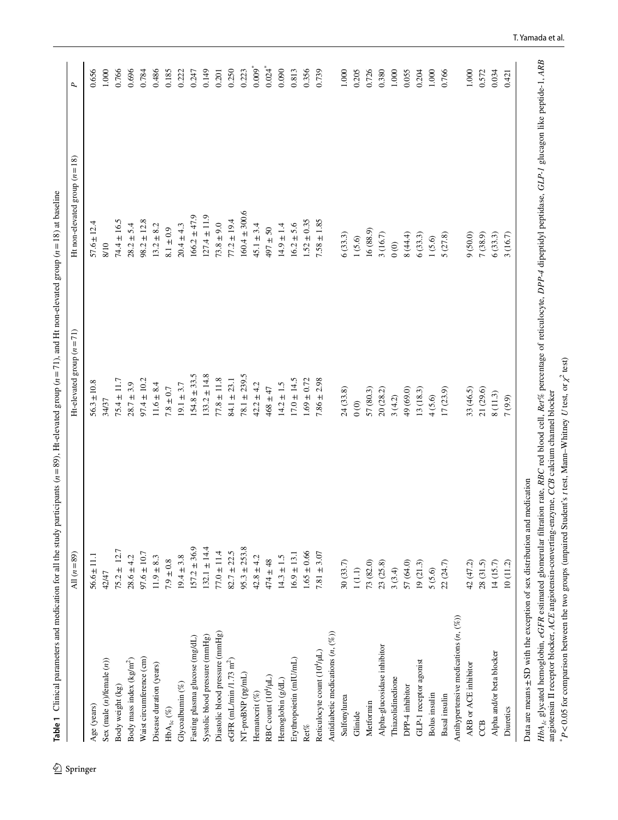|                                          | All $(n = 89)$   | Ht-elevated group $(n = 71)$         | Ht non-elevated group $(n=18)$ | P,                   |
|------------------------------------------|------------------|--------------------------------------|--------------------------------|----------------------|
| Age (years)                              | $56.6 \pm 11.1$  | $56.3 \pm 10.8$                      | $57.6 \pm 12.4$                | 0.656                |
| Sex (male $(n)$ /female $(n)$ )          | 42/47            | 34/37                                | 8/10                           | 1.000                |
| Body weight (kg)                         | $75.2 \pm 12.7$  | $75.4 \pm 11.7$                      | $74.4 \pm 16.5$                | 0.766                |
| Body mass index (kg/m <sup>2</sup> )     | $28.6 \pm 4.2$   | $28.7 \pm 3.9$                       | $28.2 \pm 5.4$                 | 0.696                |
| Waist circumference (cm)                 | $97.6 \pm 10.7$  | $97.4 \pm 10.2$                      | $98.2 \pm 12.8$                | 0.784                |
| Disease duration (years)                 | $11.9 \pm 8.3$   | $11.6 \pm 8.4$                       | $13.2 \pm 8.2$                 | 0.486                |
| $\text{HbA}_{1\text{c}}\left(\%\right)$  | $7.9\pm0.8$      | $7.8\pm0.7$                          | $8.1 \pm 0.9$                  | 0.185                |
| Glycoalbumin (%)                         | $19.4 \pm 3.8$   | $19.1 \pm 3.7$                       | $20.4 \pm 4.3$                 | 0.222                |
| Fasting plasma glucose (mg/dL)           | $157.2 \pm 36.9$ | $154.8 \pm 33.5$                     | $166.2 \pm 47.9$               | 0.247                |
| Systolic blood pressure (mmHg)           | $132.1 \pm 14.4$ | $133.2 \pm 14.8$                     | $127.4 \pm 11.9$               | 0.149                |
| Diastolic blood pressure (mmHg)          | $77.0 \pm 11.4$  | $77.8 \pm 11.8$                      | $73.8 \pm 9.0$                 | 0.201                |
| eGFR (mL/min /1.73 m <sup>2</sup> )      | $82.7 \pm 22.5$  | $84.1 \pm 23.1$                      | $77.2 \pm 19.4$                | 0.250                |
| NT-proBNP (pg/mL)                        | $95.3 \pm 253.8$ | $78.1 \pm 239.5$                     | $160.4 \pm 300.6$              | 0.223                |
| Hematocrit (%)                           | $42.8 \pm 4.2$   | $42.2 \pm 4.2$                       | $45.1 \pm 3.4$                 | $0.009$ <sup>*</sup> |
| RBC count (10 <sup>4</sup> /µL)          | $474 \pm 48$     | $468 \pm 47$                         | $497 \pm 50$                   | $0.024$ <sup>*</sup> |
| Hemoglobin (g/dL)                        | $14.3 \pm 1.5$   | $14.2 \pm 1.5$                       | $14.9 \pm 1.4$                 | 0.090                |
| Erythropoietin (mIU/mL)                  | $16.9 \pm 13.1$  | $17.0 \pm 14.5$                      | $16.2 \pm 5.6$                 | 0.813                |
| $\mathrm{Ret}\%$                         | $1.65 \pm 0.66$  | $1.69 \pm 0.72$                      | $1.52 \pm 0.35$                | 0.356                |
| Reticulocyte count (10 <sup>4</sup> /µL) | $7.81 \pm 3.07$  | $7.86 \pm 2.98$                      | $7.58 \pm 1.85$                | 0.739                |
| Antidiabetic medications $(n, (\%)$      |                  |                                      |                                |                      |
| Sulfonylurea                             | 30(33.7)         | 24 (33.8)                            | 6(33.3)                        | 1.000                |
| Glinide                                  | $1(1.1)$         | $\begin{matrix} 0 \\ 0 \end{matrix}$ | $1(5.6)$                       | 0.205                |
| Metformin                                | 73 (82.0)        | 57 (80.3)                            | 16 (88.9)                      | 0.726                |
| Alpha-glucosidase inhibitor              | 23 (25.8)        | 20 (28.2)                            | 3(16.7)                        | 0.380                |
| Thiazolidinedione                        | 3(3.4)           | 3(4.2)                               | $\overline{0}$                 | $1.000\,$            |
| DPP-4 inhibitor                          | 57 (64.0)        | 49 (69.0)                            | 8 (44.4)                       | 0.055                |
| GLP-1 receptor agonist                   | 19(21.3)         | 13 (18.3)                            | 6(33.3)                        | 0.204                |
| Bolus insulin                            | 5(5.6)           | 4(5.6)                               | 1(5.6)                         | $1.000\,$            |
| Basal insulin                            | 22(24.7)         | 17(23.9)                             | 5(27.8)                        | 0.766                |
| Antihypertensive medications $(n, (\%)$  |                  |                                      |                                |                      |
| ARB or ACE inhibitor                     | 42 (47.2)        | 33 (46.5)                            | 9(50.0)                        | $1.000$              |
| CCB                                      | 28(31.5)         | 21 (29.6)                            | 7(38.9)                        | 0.572                |
| Alpha and/or beta blocker                | 14(15.7)         | 8 (11.3)                             | 6(33.3)                        | 0.034                |
| Diuretics                                | (0(11.2)         | (9.9)<br>$\overline{ }$              | 3(16.7)                        | 0.421                |

**Table 1** Clinical parameters and medication for all the study participants ( $n = 89$ ), Ht-elevated group ( $n = 71$ ), and Ht non-elevated group ( $n = 18$ ) at baseline

<span id="page-3-0"></span>2 Springer

angiotensin II receptor blocker, *ACE* angiotensin-converting-enzyme, *CCB* calcium channel blocker  $*P<0.05$  for comparison between the two groups (unpaired Student's *t* test, Mann–Whitney *U* test, or  $\chi^2$  test)

 ${}^*P$  < 0.05 for comparison between the two groups (unpaired Student's t test, Mann-Whitney U test, or  $\chi^2$  test)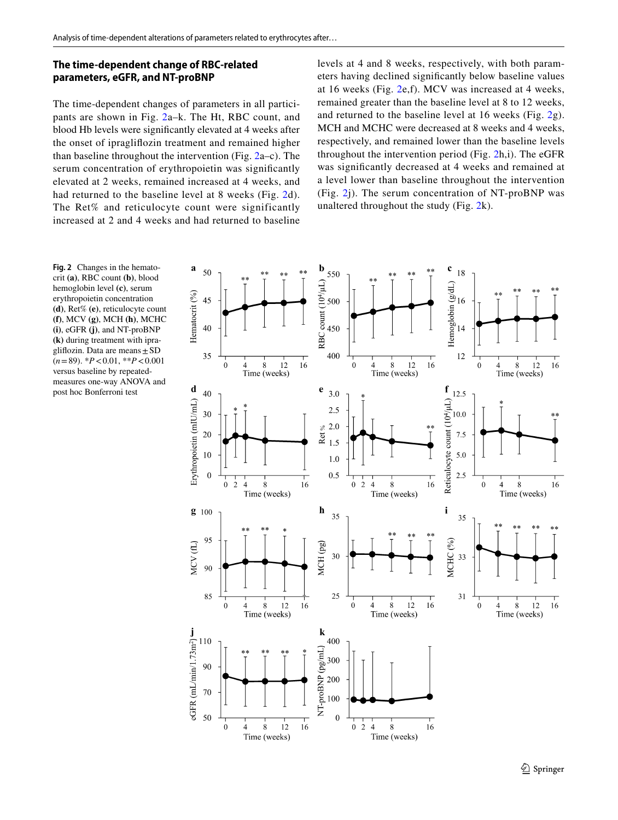#### **The time‑dependent change of RBC‑related parameters, eGFR, and NT‑proBNP**

The time-dependent changes of parameters in all participants are shown in Fig. [2a](#page-4-0)–k. The Ht, RBC count, and blood Hb levels were signifcantly elevated at 4 weeks after the onset of ipraglifozin treatment and remained higher than baseline throughout the intervention (Fig. [2](#page-4-0)a–c). The serum concentration of erythropoietin was signifcantly elevated at 2 weeks, remained increased at 4 weeks, and had returned to the baseline level at 8 weeks (Fig. [2d](#page-4-0)). The Ret% and reticulocyte count were significantly increased at 2 and 4 weeks and had returned to baseline levels at 4 and 8 weeks, respectively, with both parameters having declined signifcantly below baseline values at 16 weeks (Fig. [2e](#page-4-0),f). MCV was increased at 4 weeks, remained greater than the baseline level at 8 to 12 weeks, and returned to the baseline level at 16 weeks (Fig. [2g](#page-4-0)). MCH and MCHC were decreased at 8 weeks and 4 weeks, respectively, and remained lower than the baseline levels throughout the intervention period (Fig. [2](#page-4-0)h,i). The eGFR was signifcantly decreased at 4 weeks and remained at a level lower than baseline throughout the intervention (Fig. [2j](#page-4-0)). The serum concentration of NT-proBNP was unaltered throughout the study (Fig. [2](#page-4-0)k).

<span id="page-4-0"></span>**Fig. 2** Changes in the hematocrit **(a)**, RBC count **(b)**, blood hemoglobin level **(c)**, serum erythropoietin concentration **(d)**, Ret% **(e)**, reticulocyte count **(f)**, MCV **(g)**, MCH **(h)**, MCHC **(i)**, eGFR **(j)**, and NT-proBNP **(k)** during treatment with ipragliflozin. Data are means $\pm$ SD (*n*=89). \**P*<0.01, \*\**P*<0.001 versus baseline by repeatedmeasures one-way ANOVA and post hoc Bonferroni test

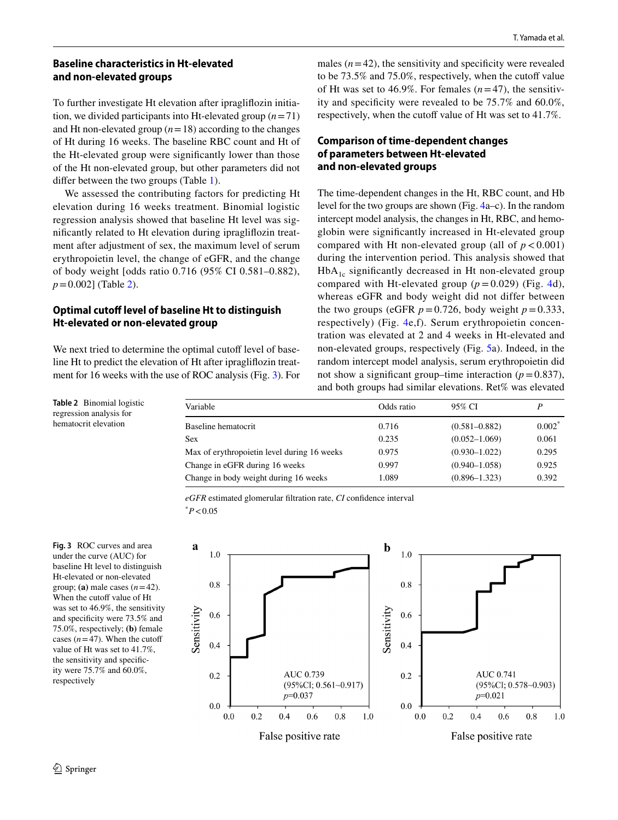# **Baseline characteristics in Ht‑elevated and non‑elevated groups**

To further investigate Ht elevation after ipraglifozin initiation, we divided participants into Ht-elevated group (*n*=71) and Ht non-elevated group  $(n=18)$  according to the changes of Ht during 16 weeks. The baseline RBC count and Ht of the Ht-elevated group were signifcantly lower than those of the Ht non-elevated group, but other parameters did not differ between the two groups (Table [1\)](#page-3-0).

We assessed the contributing factors for predicting Ht elevation during 16 weeks treatment. Binomial logistic regression analysis showed that baseline Ht level was signifcantly related to Ht elevation during ipraglifozin treatment after adjustment of sex, the maximum level of serum erythropoietin level, the change of eGFR, and the change of body weight [odds ratio 0.716 (95% CI 0.581–0.882), *p*=0.002] (Table [2\)](#page-5-0).

## **Optimal cutoff level of baseline Ht to distinguish Ht‑elevated or non‑elevated group**

We next tried to determine the optimal cutoff level of baseline Ht to predict the elevation of Ht after ipraglifozin treatment for 16 weeks with the use of ROC analysis (Fig. [3](#page-5-1)). For males  $(n=42)$ , the sensitivity and specificity were revealed to be  $73.5\%$  and  $75.0\%$ , respectively, when the cutoff value of Ht was set to 46.9%. For females  $(n=47)$ , the sensitivity and specificity were revealed to be 75.7% and 60.0%, respectively, when the cutoff value of Ht was set to 41.7%.

# **Comparison of time‑dependent changes of parameters between Ht‑elevated and non‑elevated groups**

The time-dependent changes in the Ht, RBC count, and Hb level for the two groups are shown (Fig. [4a](#page-6-0)–c). In the random intercept model analysis, the changes in Ht, RBC, and hemoglobin were signifcantly increased in Ht-elevated group compared with Ht non-elevated group (all of  $p < 0.001$ ) during the intervention period. This analysis showed that  $HbA_{1c}$  significantly decreased in Ht non-elevated group compared with Ht-elevated group  $(p=0.029)$  (Fig. [4d](#page-6-0)), whereas eGFR and body weight did not differ between the two groups (eGFR  $p=0.726$ , body weight  $p=0.333$ , respectively) (Fig. [4](#page-6-0)e,f). Serum erythropoietin concentration was elevated at 2 and 4 weeks in Ht-elevated and non-elevated groups, respectively (Fig. [5](#page-7-0)a). Indeed, in the random intercept model analysis, serum erythropoietin did not show a significant group–time interaction  $(p=0.837)$ , and both groups had similar elevations. Ret% was elevated

<span id="page-5-0"></span>**Table 2** Binomial logistic Variable **Odds** ratio 95% CI *P* Baseline hematocrit 0.716 (0.581–0.882) 0.002<sup>\*</sup> Sex 0.235 (0.052–1.069) 0.061 Max of erythropoietin level during 16 weeks 0.975 (0.930–1.022) 0.295 Change in eGFR during 16 weeks 0.997 (0.940–1.058) 0.925

> *eGFR* estimated glomerular fltration rate, *CI* confdence interval  $*P$  < 0.05

<span id="page-5-1"></span>**Fig. 3** ROC curves and area under the curve (AUC) for baseline Ht level to distinguish Ht-elevated or non-elevated group; **(a)** male cases  $(n=42)$ . When the cutoff value of Ht was set to 46.9%, the sensitivity and specifcity were 73.5% and 75.0%, respectively; **(b)** female cases  $(n=47)$ . When the cutoff value of Ht was set to 41.7%, the sensitivity and specifcity were 75.7% and 60.0%, respectively

regression analysis for hematocrit elevation



Change in body weight during 16 weeks 1.089 (0.896–1.323) 0.392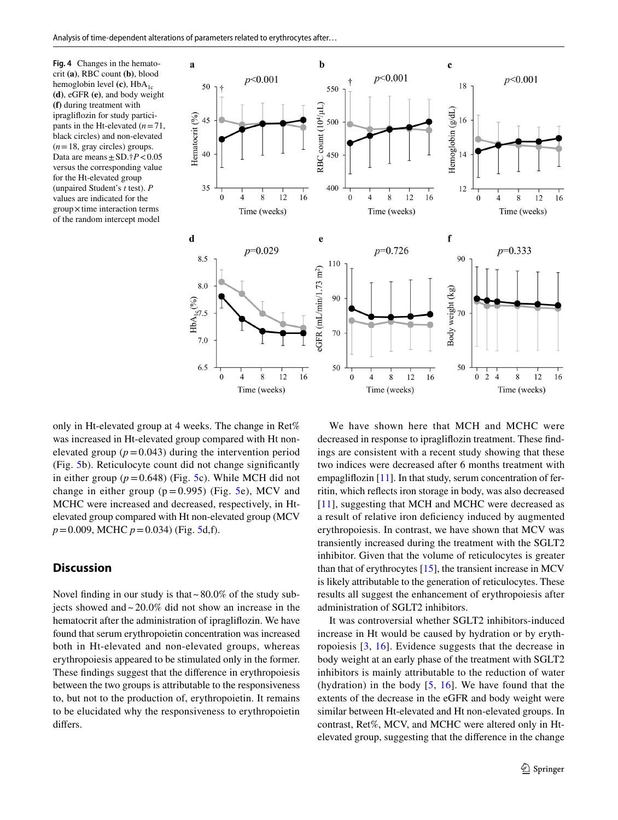<span id="page-6-0"></span>**Fig. 4** Changes in the hematocrit **(a)**, RBC count **(b)**, blood hemoglobin level  $(c)$ , HbA<sub>1c</sub> **(d)**, eGFR **(e)**, and body weight **(f)** during treatment with ipraglifozin for study participants in the Ht-elevated (*n*=71, black circles) and non-elevated (*n*=18, gray circles) groups. Data are means  $\pm$  SD.†*P* < 0.05 versus the corresponding value for the Ht-elevated group (unpaired Student's *t* test). *P* values are indicated for the group×time interaction terms of the random intercept model



only in Ht-elevated group at 4 weeks. The change in Ret% was increased in Ht-elevated group compared with Ht nonelevated group  $(p=0.043)$  during the intervention period (Fig. [5b](#page-7-0)). Reticulocyte count did not change signifcantly in either group  $(p=0.648)$  (Fig. [5c](#page-7-0)). While MCH did not change in either group  $(p=0.995)$  $(p=0.995)$  $(p=0.995)$  (Fig. 5e), MCV and MCHC were increased and decreased, respectively, in Htelevated group compared with Ht non-elevated group (MCV *p*=0.009, MCHC *p*=0.034) (Fig. [5](#page-7-0)d,f).

## **Discussion**

Novel finding in our study is that  $\sim 80.0\%$  of the study subjects showed and  $\sim$  20.0% did not show an increase in the hematocrit after the administration of ipraglifozin. We have found that serum erythropoietin concentration was increased both in Ht-elevated and non-elevated groups, whereas erythropoiesis appeared to be stimulated only in the former. These fndings suggest that the diference in erythropoiesis between the two groups is attributable to the responsiveness to, but not to the production of, erythropoietin. It remains to be elucidated why the responsiveness to erythropoietin differs.

We have shown here that MCH and MCHC were decreased in response to ipraglifozin treatment. These fndings are consistent with a recent study showing that these two indices were decreased after 6 months treatment with empagliflozin [\[11](#page-8-5)]. In that study, serum concentration of ferritin, which refects iron storage in body, was also decreased [[11\]](#page-8-5), suggesting that MCH and MCHC were decreased as a result of relative iron defciency induced by augmented erythropoiesis. In contrast, we have shown that MCV was transiently increased during the treatment with the SGLT2 inhibitor. Given that the volume of reticulocytes is greater than that of erythrocytes [\[15\]](#page-8-9), the transient increase in MCV is likely attributable to the generation of reticulocytes. These results all suggest the enhancement of erythropoiesis after administration of SGLT2 inhibitors.

It was controversial whether SGLT2 inhibitors-induced increase in Ht would be caused by hydration or by erythropoiesis [[3,](#page-8-3) [16](#page-8-10)]. Evidence suggests that the decrease in body weight at an early phase of the treatment with SGLT2 inhibitors is mainly attributable to the reduction of water (hydration) in the body  $[5, 16]$  $[5, 16]$  $[5, 16]$  $[5, 16]$ . We have found that the extents of the decrease in the eGFR and body weight were similar between Ht-elevated and Ht non-elevated groups. In contrast, Ret%, MCV, and MCHC were altered only in Htelevated group, suggesting that the diference in the change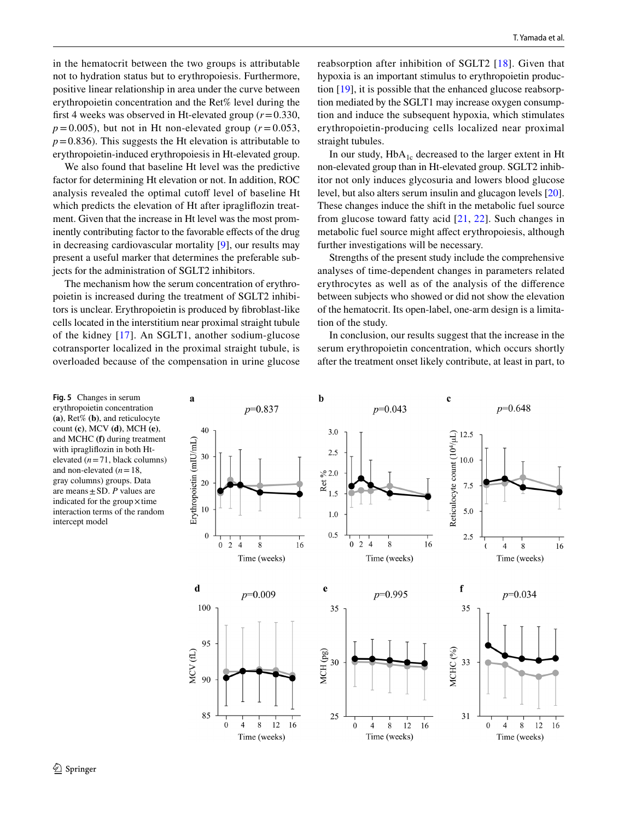in the hematocrit between the two groups is attributable not to hydration status but to erythropoiesis. Furthermore, positive linear relationship in area under the curve between erythropoietin concentration and the Ret% level during the frst 4 weeks was observed in Ht-elevated group (*r*=0.330,  $p = 0.005$ ), but not in Ht non-elevated group ( $r = 0.053$ ,  $p=0.836$ ). This suggests the Ht elevation is attributable to erythropoietin-induced erythropoiesis in Ht-elevated group.

We also found that baseline Ht level was the predictive factor for determining Ht elevation or not. In addition, ROC analysis revealed the optimal cutoff level of baseline Ht which predicts the elevation of Ht after ipraglifozin treatment. Given that the increase in Ht level was the most prominently contributing factor to the favorable effects of the drug in decreasing cardiovascular mortality [[9\]](#page-8-2), our results may present a useful marker that determines the preferable subjects for the administration of SGLT2 inhibitors.

The mechanism how the serum concentration of erythropoietin is increased during the treatment of SGLT2 inhibitors is unclear. Erythropoietin is produced by fbroblast-like cells located in the interstitium near proximal straight tubule of the kidney [[17](#page-9-0)]. An SGLT1, another sodium-glucose cotransporter localized in the proximal straight tubule, is overloaded because of the compensation in urine glucose reabsorption after inhibition of SGLT2 [[18](#page-9-1)]. Given that hypoxia is an important stimulus to erythropoietin production [[19\]](#page-9-2), it is possible that the enhanced glucose reabsorption mediated by the SGLT1 may increase oxygen consumption and induce the subsequent hypoxia, which stimulates erythropoietin-producing cells localized near proximal straight tubules.

In our study,  $HbA_{1c}$  decreased to the larger extent in Ht non-elevated group than in Ht-elevated group. SGLT2 inhibitor not only induces glycosuria and lowers blood glucose level, but also alters serum insulin and glucagon levels [\[20](#page-9-3)]. These changes induce the shift in the metabolic fuel source from glucose toward fatty acid [[21](#page-9-4), [22](#page-9-5)]. Such changes in metabolic fuel source might afect erythropoiesis, although further investigations will be necessary.

Strengths of the present study include the comprehensive analyses of time-dependent changes in parameters related erythrocytes as well as of the analysis of the diference between subjects who showed or did not show the elevation of the hematocrit. Its open-label, one-arm design is a limitation of the study.

In conclusion, our results suggest that the increase in the serum erythropoietin concentration, which occurs shortly after the treatment onset likely contribute, at least in part, to



<span id="page-7-0"></span>**Fig. 5** Changes in serum erythropoietin concentration **(a)**, Ret% **(b)**, and reticulocyte count **(c)**, MCV **(d)**, MCH **(e)**, and MCHC **(f)** during treatment with ipraglifozin in both Htelevated  $(n=71, \text{black columns})$ and non-elevated (*n*=18, gray columns) groups. Data are means $\pm$ SD. *P* values are indicated for the group $\times$ time interaction terms of the random intercept model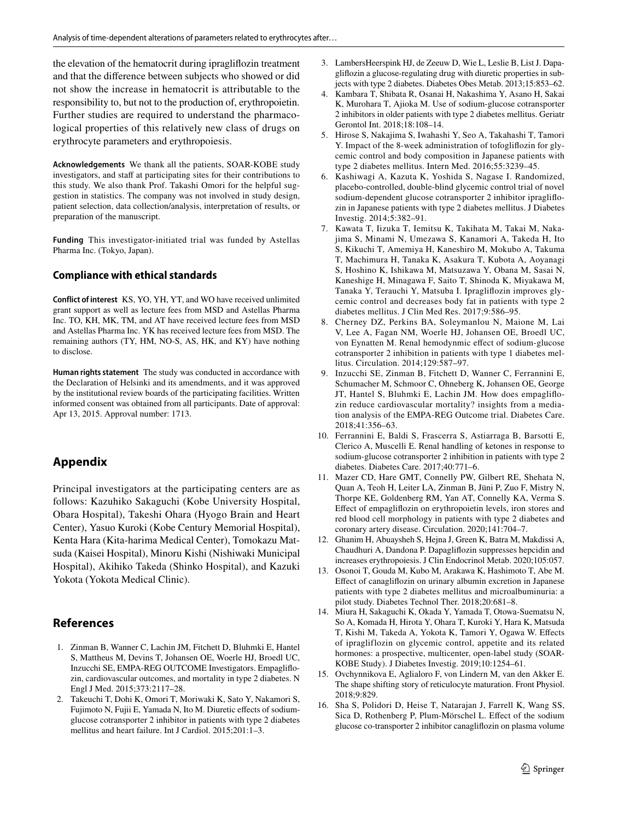the elevation of the hematocrit during ipraglifozin treatment and that the diference between subjects who showed or did not show the increase in hematocrit is attributable to the responsibility to, but not to the production of, erythropoietin. Further studies are required to understand the pharmacological properties of this relatively new class of drugs on erythrocyte parameters and erythropoiesis.

**Acknowledgements** We thank all the patients, SOAR-KOBE study investigators, and staff at participating sites for their contributions to this study. We also thank Prof. Takashi Omori for the helpful suggestion in statistics. The company was not involved in study design, patient selection, data collection/analysis, interpretation of results, or preparation of the manuscript.

**Funding** This investigator-initiated trial was funded by Astellas Pharma Inc. (Tokyo, Japan).

# **Compliance with ethical standards**

**Conflict of interest** KS, YO, YH, YT, and WO have received unlimited grant support as well as lecture fees from MSD and Astellas Pharma Inc. TO, KH, MK, TM, and AT have received lecture fees from MSD and Astellas Pharma Inc. YK has received lecture fees from MSD. The remaining authors (TY, HM, NO-S, AS, HK, and KY) have nothing to disclose.

**Human rights statement** The study was conducted in accordance with the Declaration of Helsinki and its amendments, and it was approved by the institutional review boards of the participating facilities. Written informed consent was obtained from all participants. Date of approval: Apr 13, 2015. Approval number: 1713.

# **Appendix**

Principal investigators at the participating centers are as follows: Kazuhiko Sakaguchi (Kobe University Hospital, Obara Hospital), Takeshi Ohara (Hyogo Brain and Heart Center), Yasuo Kuroki (Kobe Century Memorial Hospital), Kenta Hara (Kita-harima Medical Center), Tomokazu Matsuda (Kaisei Hospital), Minoru Kishi (Nishiwaki Municipal Hospital), Akihiko Takeda (Shinko Hospital), and Kazuki Yokota (Yokota Medical Clinic).

# **References**

- <span id="page-8-0"></span>1. Zinman B, Wanner C, Lachin JM, Fitchett D, Bluhmki E, Hantel S, Mattheus M, Devins T, Johansen OE, Woerle HJ, Broedl UC, Inzucchi SE, EMPA-REG OUTCOME Investigators. Empaglifozin, cardiovascular outcomes, and mortality in type 2 diabetes. N Engl J Med. 2015;373:2117–28.
- 2. Takeuchi T, Dohi K, Omori T, Moriwaki K, Sato Y, Nakamori S, Fujimoto N, Fujii E, Yamada N, Ito M. Diuretic efects of sodiumglucose cotransporter 2 inhibitor in patients with type 2 diabetes mellitus and heart failure. Int J Cardiol. 2015;201:1–3.
- <span id="page-8-3"></span>3. LambersHeerspink HJ, de Zeeuw D, Wie L, Leslie B, List J. Dapaglifozin a glucose-regulating drug with diuretic properties in subjects with type 2 diabetes. Diabetes Obes Metab. 2013;15:853–62.
- 4. Kambara T, Shibata R, Osanai H, Nakashima Y, Asano H, Sakai K, Murohara T, Ajioka M. Use of sodium-glucose cotransporter 2 inhibitors in older patients with type 2 diabetes mellitus. Geriatr Gerontol Int. 2018;18:108–14.
- <span id="page-8-11"></span>5. Hirose S, Nakajima S, Iwahashi Y, Seo A, Takahashi T, Tamori Y. Impact of the 8-week administration of tofoglifozin for glycemic control and body composition in Japanese patients with type 2 diabetes mellitus. Intern Med. 2016;55:3239–45.
- 6. Kashiwagi A, Kazuta K, Yoshida S, Nagase I. Randomized, placebo-controlled, double-blind glycemic control trial of novel sodium-dependent glucose cotransporter 2 inhibitor ipraglifozin in Japanese patients with type 2 diabetes mellitus. J Diabetes Investig. 2014;5:382–91.
- 7. Kawata T, Iizuka T, Iemitsu K, Takihata M, Takai M, Nakajima S, Minami N, Umezawa S, Kanamori A, Takeda H, Ito S, Kikuchi T, Amemiya H, Kaneshiro M, Mokubo A, Takuma T, Machimura H, Tanaka K, Asakura T, Kubota A, Aoyanagi S, Hoshino K, Ishikawa M, Matsuzawa Y, Obana M, Sasai N, Kaneshige H, Minagawa F, Saito T, Shinoda K, Miyakawa M, Tanaka Y, Terauchi Y, Matsuba I. Ipraglifozin improves glycemic control and decreases body fat in patients with type 2 diabetes mellitus. J Clin Med Res. 2017;9:586–95.
- <span id="page-8-1"></span>8. Cherney DZ, Perkins BA, Soleymanlou N, Maione M, Lai V, Lee A, Fagan NM, Woerle HJ, Johansen OE, Broedl UC, von Eynatten M. Renal hemodynmic efect of sodium-glucose cotransporter 2 inhibition in patients with type 1 diabetes mellitus. Circulation. 2014;129:587–97.
- <span id="page-8-2"></span>9. Inzucchi SE, Zinman B, Fitchett D, Wanner C, Ferrannini E, Schumacher M, Schmoor C, Ohneberg K, Johansen OE, George JT, Hantel S, Bluhmki E, Lachin JM. How does empaglifozin reduce cardiovascular mortality? insights from a mediation analysis of the EMPA-REG Outcome trial. Diabetes Care. 2018;41:356–63.
- <span id="page-8-4"></span>10. Ferrannini E, Baldi S, Frascerra S, Astiarraga B, Barsotti E, Clerico A, Muscelli E. Renal handling of ketones in response to sodium-glucose cotransporter 2 inhibition in patients with type 2 diabetes. Diabetes Care. 2017;40:771–6.
- <span id="page-8-5"></span>11. Mazer CD, Hare GMT, Connelly PW, Gilbert RE, Shehata N, Quan A, Teoh H, Leiter LA, Zinman B, Jüni P, Zuo F, Mistry N, Thorpe KE, Goldenberg RM, Yan AT, Connelly KA, Verma S. Efect of empaglifozin on erythropoietin levels, iron stores and red blood cell morphology in patients with type 2 diabetes and coronary artery disease. Circulation. 2020;141:704–7.
- <span id="page-8-6"></span>12. Ghanim H, Abuaysheh S, Hejna J, Green K, Batra M, Makdissi A, Chaudhuri A, Dandona P. Dapaglifozin suppresses hepcidin and increases erythropoiesis. J Clin Endocrinol Metab. 2020;105:057.
- <span id="page-8-7"></span>13. Osonoi T, Gouda M, Kubo M, Arakawa K, Hashimoto T, Abe M. Efect of canaglifozin on urinary albumin excretion in Japanese patients with type 2 diabetes mellitus and microalbuminuria: a pilot study. Diabetes Technol Ther. 2018;20:681–8.
- <span id="page-8-8"></span>14. Miura H, Sakaguchi K, Okada Y, Yamada T, Otowa-Suematsu N, So A, Komada H, Hirota Y, Ohara T, Kuroki Y, Hara K, Matsuda T, Kishi M, Takeda A, Yokota K, Tamori Y, Ogawa W. Efects of ipragliflozin on glycemic control, appetite and its related hormones: a prospective, multicenter, open-label study (SOAR-KOBE Study). J Diabetes Investig. 2019;10:1254–61.
- <span id="page-8-9"></span>15. Ovchynnikova E, Aglialoro F, von Lindern M, van den Akker E. The shape shifting story of reticulocyte maturation. Front Physiol. 2018;9:829.
- <span id="page-8-10"></span>16. Sha S, Polidori D, Heise T, Natarajan J, Farrell K, Wang SS, Sica D, Rothenberg P, Plum-Mörschel L. Efect of the sodium glucose co-transporter 2 inhibitor canaglifozin on plasma volume